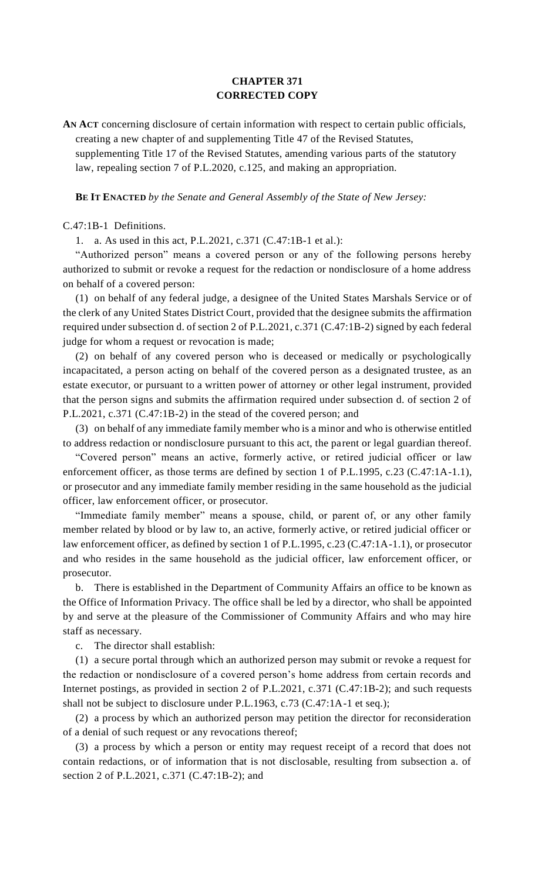## **CHAPTER 371 CORRECTED COPY**

**AN ACT** concerning disclosure of certain information with respect to certain public officials, creating a new chapter of and supplementing Title 47 of the Revised Statutes,

supplementing Title 17 of the Revised Statutes, amending various parts of the statutory law, repealing section 7 of P.L.2020, c.125, and making an appropriation.

**BE IT ENACTED** *by the Senate and General Assembly of the State of New Jersey:*

C.47:1B-1 Definitions.

1. a. As used in this act, P.L.2021, c.371 (C.47:1B-1 et al.):

"Authorized person" means a covered person or any of the following persons hereby authorized to submit or revoke a request for the redaction or nondisclosure of a home address on behalf of a covered person:

(1) on behalf of any federal judge, a designee of the United States Marshals Service or of the clerk of any United States District Court, provided that the designee submits the affirmation required under subsection d. of section 2 of P.L.2021, c.371 (C.47:1B-2) signed by each federal judge for whom a request or revocation is made;

(2) on behalf of any covered person who is deceased or medically or psychologically incapacitated, a person acting on behalf of the covered person as a designated trustee, as an estate executor, or pursuant to a written power of attorney or other legal instrument, provided that the person signs and submits the affirmation required under subsection d. of section 2 of P.L.2021, c.371 (C.47:1B-2) in the stead of the covered person; and

(3) on behalf of any immediate family member who is a minor and who is otherwise entitled to address redaction or nondisclosure pursuant to this act, the parent or legal guardian thereof.

"Covered person" means an active, formerly active, or retired judicial officer or law enforcement officer, as those terms are defined by section 1 of P.L.1995, c.23 (C.47:1A-1.1), or prosecutor and any immediate family member residing in the same household as the judicial officer, law enforcement officer, or prosecutor.

"Immediate family member" means a spouse, child, or parent of, or any other family member related by blood or by law to, an active, formerly active, or retired judicial officer or law enforcement officer, as defined by section 1 of P.L.1995, c.23 (C.47:1A-1.1), or prosecutor and who resides in the same household as the judicial officer, law enforcement officer, or prosecutor.

b. There is established in the Department of Community Affairs an office to be known as the Office of Information Privacy. The office shall be led by a director, who shall be appointed by and serve at the pleasure of the Commissioner of Community Affairs and who may hire staff as necessary.

c. The director shall establish:

(1) a secure portal through which an authorized person may submit or revoke a request for the redaction or nondisclosure of a covered person's home address from certain records and Internet postings, as provided in section 2 of P.L.2021, c.371 (C.47:1B-2); and such requests shall not be subject to disclosure under P.L.1963, c.73 (C.47:1A-1 et seq.);

(2) a process by which an authorized person may petition the director for reconsideration of a denial of such request or any revocations thereof;

(3) a process by which a person or entity may request receipt of a record that does not contain redactions, or of information that is not disclosable, resulting from subsection a. of section 2 of P.L.2021, c.371 (C.47:1B-2); and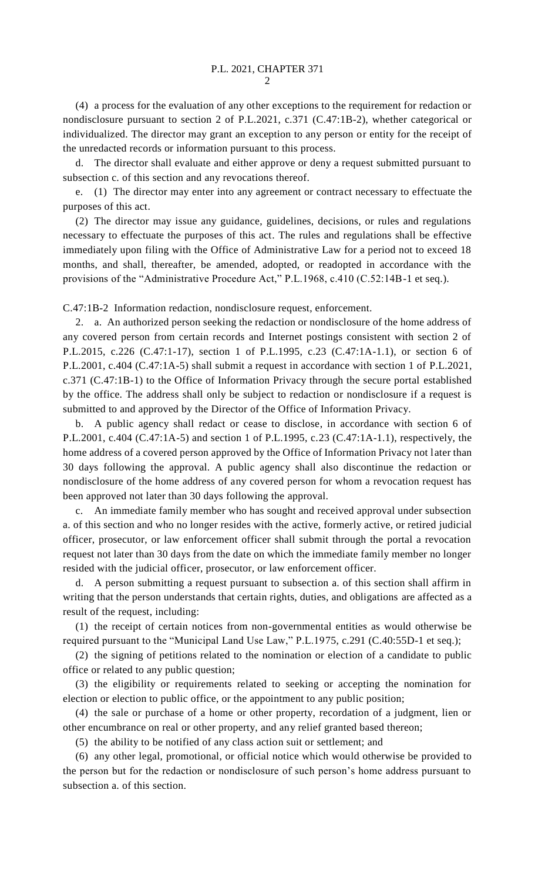(4) a process for the evaluation of any other exceptions to the requirement for redaction or nondisclosure pursuant to section 2 of P.L.2021, c.371 (C.47:1B-2), whether categorical or individualized. The director may grant an exception to any person or entity for the receipt of the unredacted records or information pursuant to this process.

d. The director shall evaluate and either approve or deny a request submitted pursuant to subsection c. of this section and any revocations thereof.

e. (1) The director may enter into any agreement or contract necessary to effectuate the purposes of this act.

(2) The director may issue any guidance, guidelines, decisions, or rules and regulations necessary to effectuate the purposes of this act. The rules and regulations shall be effective immediately upon filing with the Office of Administrative Law for a period not to exceed 18 months, and shall, thereafter, be amended, adopted, or readopted in accordance with the provisions of the "Administrative Procedure Act," P.L.1968, c.410 (C.52:14B-1 et seq.).

C.47:1B-2 Information redaction, nondisclosure request, enforcement.

2. a. An authorized person seeking the redaction or nondisclosure of the home address of any covered person from certain records and Internet postings consistent with section 2 of P.L.2015, c.226 (C.47:1-17), section 1 of P.L.1995, c.23 (C.47:1A-1.1), or section 6 of P.L.2001, c.404 (C.47:1A-5) shall submit a request in accordance with section 1 of P.L.2021, c.371 (C.47:1B-1) to the Office of Information Privacy through the secure portal established by the office. The address shall only be subject to redaction or nondisclosure if a request is submitted to and approved by the Director of the Office of Information Privacy.

b. A public agency shall redact or cease to disclose, in accordance with section 6 of P.L.2001, c.404 (C.47:1A-5) and section 1 of P.L.1995, c.23 (C.47:1A-1.1), respectively, the home address of a covered person approved by the Office of Information Privacy not later than 30 days following the approval. A public agency shall also discontinue the redaction or nondisclosure of the home address of any covered person for whom a revocation request has been approved not later than 30 days following the approval.

c. An immediate family member who has sought and received approval under subsection a. of this section and who no longer resides with the active, formerly active, or retired judicial officer, prosecutor, or law enforcement officer shall submit through the portal a revocation request not later than 30 days from the date on which the immediate family member no longer resided with the judicial officer, prosecutor, or law enforcement officer.

d. A person submitting a request pursuant to subsection a. of this section shall affirm in writing that the person understands that certain rights, duties, and obligations are affected as a result of the request, including:

(1) the receipt of certain notices from non-governmental entities as would otherwise be required pursuant to the "Municipal Land Use Law," P.L.1975, c.291 (C.40:55D-1 et seq.);

(2) the signing of petitions related to the nomination or election of a candidate to public office or related to any public question;

(3) the eligibility or requirements related to seeking or accepting the nomination for election or election to public office, or the appointment to any public position;

(4) the sale or purchase of a home or other property, recordation of a judgment, lien or other encumbrance on real or other property, and any relief granted based thereon;

(5) the ability to be notified of any class action suit or settlement; and

(6) any other legal, promotional, or official notice which would otherwise be provided to the person but for the redaction or nondisclosure of such person's home address pursuant to subsection a. of this section.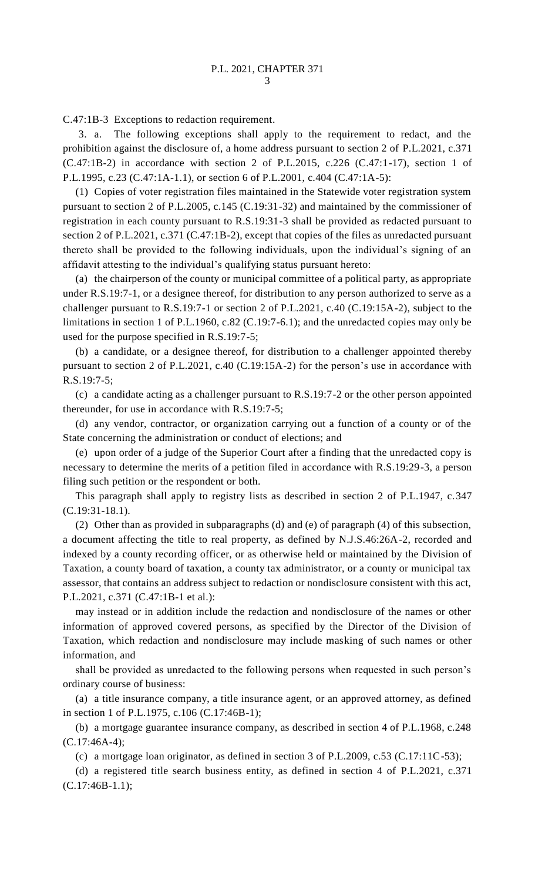C.47:1B-3 Exceptions to redaction requirement.

3. a. The following exceptions shall apply to the requirement to redact, and the prohibition against the disclosure of, a home address pursuant to section 2 of P.L.2021, c.371  $(C.47:1B-2)$  in accordance with section 2 of P.L.2015, c.226  $(C.47:1-17)$ , section 1 of P.L.1995, c.23 (C.47:1A-1.1), or section 6 of P.L.2001, c.404 (C.47:1A-5):

(1) Copies of voter registration files maintained in the Statewide voter registration system pursuant to section 2 of P.L.2005, c.145 (C.19:31-32) and maintained by the commissioner of registration in each county pursuant to R.S.19:31-3 shall be provided as redacted pursuant to section 2 of P.L.2021, c.371 (C.47:1B-2), except that copies of the files as unredacted pursuant thereto shall be provided to the following individuals, upon the individual's signing of an affidavit attesting to the individual's qualifying status pursuant hereto:

(a) the chairperson of the county or municipal committee of a political party, as appropriate under R.S.19:7-1, or a designee thereof, for distribution to any person authorized to serve as a challenger pursuant to R.S.19:7-1 or section 2 of P.L.2021, c.40 (C.19:15A-2), subject to the limitations in section 1 of P.L.1960, c.82 (C.19:7-6.1); and the unredacted copies may only be used for the purpose specified in R.S.19:7-5;

(b) a candidate, or a designee thereof, for distribution to a challenger appointed thereby pursuant to section 2 of P.L.2021, c.40 (C.19:15A-2) for the person's use in accordance with R.S.19:7-5;

(c) a candidate acting as a challenger pursuant to R.S.19:7-2 or the other person appointed thereunder, for use in accordance with R.S.19:7-5;

(d) any vendor, contractor, or organization carrying out a function of a county or of the State concerning the administration or conduct of elections; and

(e) upon order of a judge of the Superior Court after a finding that the unredacted copy is necessary to determine the merits of a petition filed in accordance with R.S.19:29-3, a person filing such petition or the respondent or both.

This paragraph shall apply to registry lists as described in section 2 of P.L.1947, c.347 (C.19:31-18.1).

(2) Other than as provided in subparagraphs (d) and (e) of paragraph (4) of this subsection, a document affecting the title to real property, as defined by N.J.S.46:26A-2, recorded and indexed by a county recording officer, or as otherwise held or maintained by the Division of Taxation, a county board of taxation, a county tax administrator, or a county or municipal tax assessor, that contains an address subject to redaction or nondisclosure consistent with this act, P.L.2021, c.371 (C.47:1B-1 et al.):

may instead or in addition include the redaction and nondisclosure of the names or other information of approved covered persons, as specified by the Director of the Division of Taxation, which redaction and nondisclosure may include masking of such names or other information, and

shall be provided as unredacted to the following persons when requested in such person's ordinary course of business:

(a) a title insurance company, a title insurance agent, or an approved attorney, as defined in section 1 of P.L.1975, c.106 (C.17:46B-1);

(b) a mortgage guarantee insurance company, as described in section 4 of P.L.1968, c.248 (C.17:46A-4);

(c) a mortgage loan originator, as defined in section 3 of P.L.2009, c.53 (C.17:11C-53);

(d) a registered title search business entity, as defined in section 4 of P.L.2021, c.371 (C.17:46B-1.1);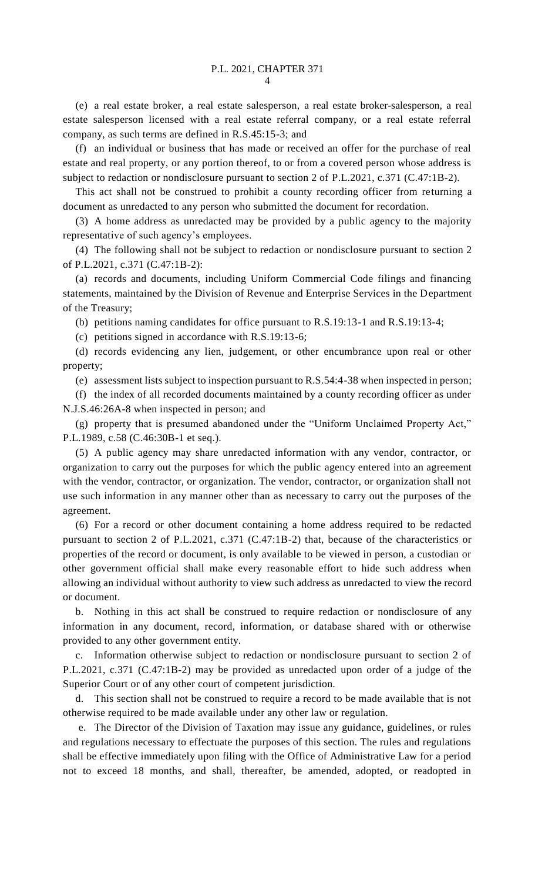(e) a real estate broker, a real estate salesperson, a real estate broker-salesperson, a real estate salesperson licensed with a real estate referral company, or a real estate referral company, as such terms are defined in R.S.45:15-3; and

(f) an individual or business that has made or received an offer for the purchase of real estate and real property, or any portion thereof, to or from a covered person whose address is subject to redaction or nondisclosure pursuant to section 2 of P.L.2021, c.371 (C.47:1B-2).

This act shall not be construed to prohibit a county recording officer from returning a document as unredacted to any person who submitted the document for recordation.

(3) A home address as unredacted may be provided by a public agency to the majority representative of such agency's employees.

(4) The following shall not be subject to redaction or nondisclosure pursuant to section 2 of P.L.2021, c.371 (C.47:1B-2):

(a) records and documents, including Uniform Commercial Code filings and financing statements, maintained by the Division of Revenue and Enterprise Services in the Department of the Treasury;

(b) petitions naming candidates for office pursuant to R.S.19:13-1 and R.S.19:13-4;

(c) petitions signed in accordance with R.S.19:13-6;

(d) records evidencing any lien, judgement, or other encumbrance upon real or other property;

(e) assessment lists subject to inspection pursuant to R.S.54:4-38 when inspected in person;

(f) the index of all recorded documents maintained by a county recording officer as under N.J.S.46:26A-8 when inspected in person; and

(g) property that is presumed abandoned under the "Uniform Unclaimed Property Act," P.L.1989, c.58 (C.46:30B-1 et seq.).

(5) A public agency may share unredacted information with any vendor, contractor, or organization to carry out the purposes for which the public agency entered into an agreement with the vendor, contractor, or organization. The vendor, contractor, or organization shall not use such information in any manner other than as necessary to carry out the purposes of the agreement.

(6) For a record or other document containing a home address required to be redacted pursuant to section 2 of P.L.2021, c.371 (C.47:1B-2) that, because of the characteristics or properties of the record or document, is only available to be viewed in person, a custodian or other government official shall make every reasonable effort to hide such address when allowing an individual without authority to view such address as unredacted to view the record or document.

b. Nothing in this act shall be construed to require redaction or nondisclosure of any information in any document, record, information, or database shared with or otherwise provided to any other government entity.

c. Information otherwise subject to redaction or nondisclosure pursuant to section 2 of P.L.2021, c.371 (C.47:1B-2) may be provided as unredacted upon order of a judge of the Superior Court or of any other court of competent jurisdiction.

This section shall not be construed to require a record to be made available that is not otherwise required to be made available under any other law or regulation.

e. The Director of the Division of Taxation may issue any guidance, guidelines, or rules and regulations necessary to effectuate the purposes of this section. The rules and regulations shall be effective immediately upon filing with the Office of Administrative Law for a period not to exceed 18 months, and shall, thereafter, be amended, adopted, or readopted in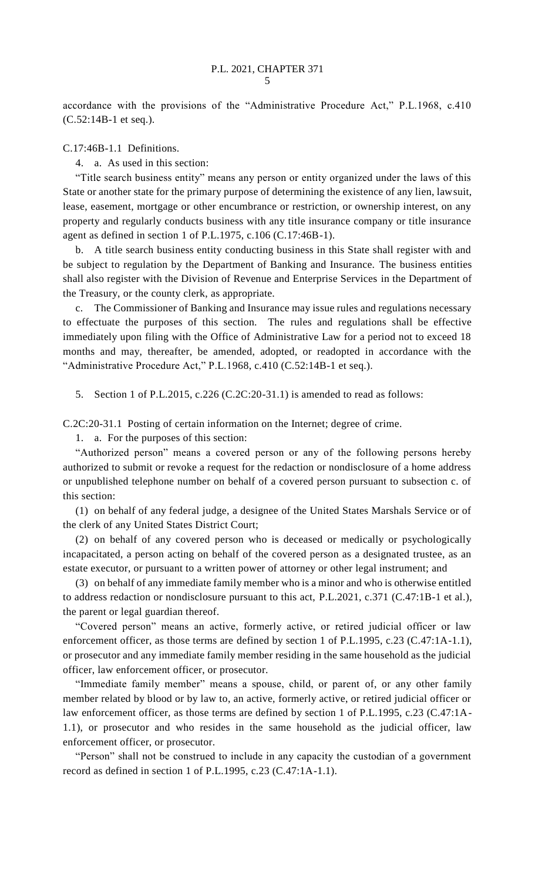accordance with the provisions of the "Administrative Procedure Act," P.L.1968, c.410 (C.52:14B-1 et seq.).

## C.17:46B-1.1 Definitions.

4. a. As used in this section:

"Title search business entity" means any person or entity organized under the laws of this State or another state for the primary purpose of determining the existence of any lien, lawsuit, lease, easement, mortgage or other encumbrance or restriction, or ownership interest, on any property and regularly conducts business with any title insurance company or title insurance agent as defined in section 1 of P.L.1975, c.106 (C.17:46B-1).

b. A title search business entity conducting business in this State shall register with and be subject to regulation by the Department of Banking and Insurance. The business entities shall also register with the Division of Revenue and Enterprise Services in the Department of the Treasury, or the county clerk, as appropriate.

c. The Commissioner of Banking and Insurance may issue rules and regulations necessary to effectuate the purposes of this section. The rules and regulations shall be effective immediately upon filing with the Office of Administrative Law for a period not to exceed 18 months and may, thereafter, be amended, adopted, or readopted in accordance with the "Administrative Procedure Act," P.L.1968, c.410 (C.52:14B-1 et seq.).

5. Section 1 of P.L.2015, c.226 (C.2C:20-31.1) is amended to read as follows:

C.2C:20-31.1 Posting of certain information on the Internet; degree of crime.

1. a. For the purposes of this section:

"Authorized person" means a covered person or any of the following persons hereby authorized to submit or revoke a request for the redaction or nondisclosure of a home address or unpublished telephone number on behalf of a covered person pursuant to subsection c. of this section:

(1) on behalf of any federal judge, a designee of the United States Marshals Service or of the clerk of any United States District Court;

(2) on behalf of any covered person who is deceased or medically or psychologically incapacitated, a person acting on behalf of the covered person as a designated trustee, as an estate executor, or pursuant to a written power of attorney or other legal instrument; and

(3) on behalf of any immediate family member who is a minor and who is otherwise entitled to address redaction or nondisclosure pursuant to this act, P.L.2021, c.371 (C.47:1B-1 et al.), the parent or legal guardian thereof.

"Covered person" means an active, formerly active, or retired judicial officer or law enforcement officer, as those terms are defined by section 1 of P.L.1995, c.23 (C.47:1A-1.1), or prosecutor and any immediate family member residing in the same household as the judicial officer, law enforcement officer, or prosecutor.

"Immediate family member" means a spouse, child, or parent of, or any other family member related by blood or by law to, an active, formerly active, or retired judicial officer or law enforcement officer, as those terms are defined by section 1 of P.L.1995, c.23 (C.47:1A-1.1), or prosecutor and who resides in the same household as the judicial officer, law enforcement officer, or prosecutor.

"Person" shall not be construed to include in any capacity the custodian of a government record as defined in section 1 of P.L.1995, c.23 (C.47:1A-1.1).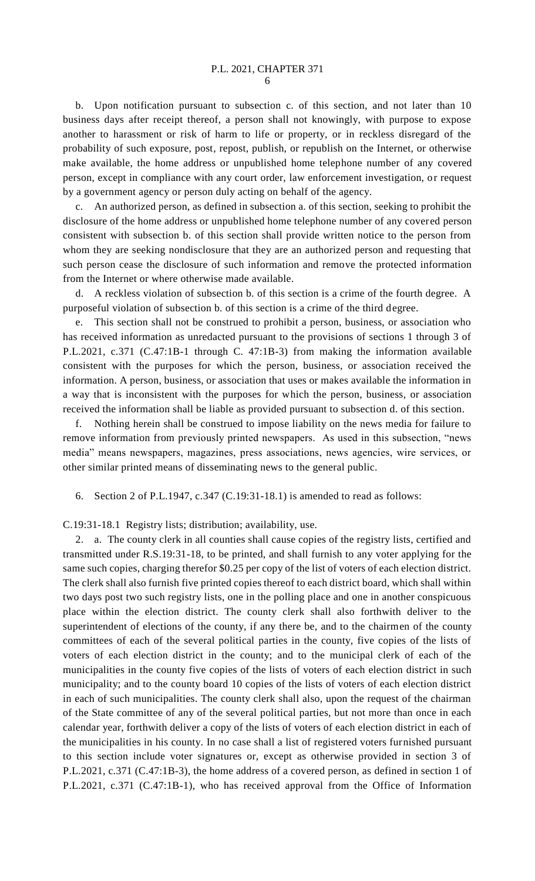b. Upon notification pursuant to subsection c. of this section, and not later than 10 business days after receipt thereof, a person shall not knowingly, with purpose to expose another to harassment or risk of harm to life or property, or in reckless disregard of the probability of such exposure, post, repost, publish, or republish on the Internet, or otherwise make available, the home address or unpublished home telephone number of any covered person, except in compliance with any court order, law enforcement investigation, or request by a government agency or person duly acting on behalf of the agency.

c. An authorized person, as defined in subsection a. of this section, seeking to prohibit the disclosure of the home address or unpublished home telephone number of any covered person consistent with subsection b. of this section shall provide written notice to the person from whom they are seeking nondisclosure that they are an authorized person and requesting that such person cease the disclosure of such information and remove the protected information from the Internet or where otherwise made available.

d. A reckless violation of subsection b. of this section is a crime of the fourth degree. A purposeful violation of subsection b. of this section is a crime of the third degree.

e. This section shall not be construed to prohibit a person, business, or association who has received information as unredacted pursuant to the provisions of sections 1 through 3 of P.L.2021, c.371 (C.47:1B-1 through C. 47:1B-3) from making the information available consistent with the purposes for which the person, business, or association received the information. A person, business, or association that uses or makes available the information in a way that is inconsistent with the purposes for which the person, business, or association received the information shall be liable as provided pursuant to subsection d. of this section.

f. Nothing herein shall be construed to impose liability on the news media for failure to remove information from previously printed newspapers. As used in this subsection, "news media" means newspapers, magazines, press associations, news agencies, wire services, or other similar printed means of disseminating news to the general public.

6. Section 2 of P.L.1947, c.347 (C.19:31-18.1) is amended to read as follows:

C.19:31-18.1 Registry lists; distribution; availability, use.

2. a. The county clerk in all counties shall cause copies of the registry lists, certified and transmitted under R.S.19:31-18, to be printed, and shall furnish to any voter applying for the same such copies, charging therefor \$0.25 per copy of the list of voters of each election district. The clerk shall also furnish five printed copies thereof to each district board, which shall within two days post two such registry lists, one in the polling place and one in another conspicuous place within the election district. The county clerk shall also forthwith deliver to the superintendent of elections of the county, if any there be, and to the chairmen of the county committees of each of the several political parties in the county, five copies of the lists of voters of each election district in the county; and to the municipal clerk of each of the municipalities in the county five copies of the lists of voters of each election district in such municipality; and to the county board 10 copies of the lists of voters of each election district in each of such municipalities. The county clerk shall also, upon the request of the chairman of the State committee of any of the several political parties, but not more than once in each calendar year, forthwith deliver a copy of the lists of voters of each election district in each of the municipalities in his county. In no case shall a list of registered voters furnished pursuant to this section include voter signatures or, except as otherwise provided in section 3 of P.L.2021, c.371 (C.47:1B-3), the home address of a covered person, as defined in section 1 of P.L.2021, c.371 (C.47:1B-1), who has received approval from the Office of Information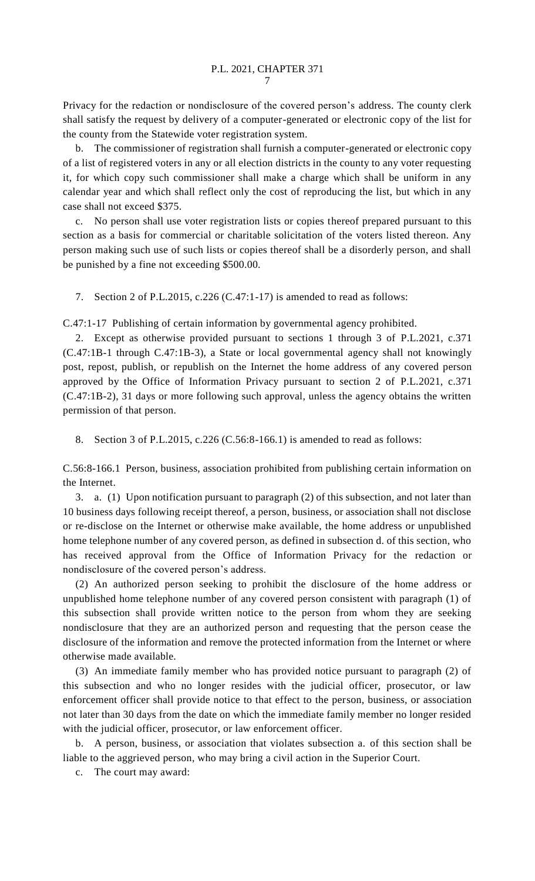Privacy for the redaction or nondisclosure of the covered person's address. The county clerk shall satisfy the request by delivery of a computer-generated or electronic copy of the list for the county from the Statewide voter registration system.

b. The commissioner of registration shall furnish a computer-generated or electronic copy of a list of registered voters in any or all election districts in the county to any voter requesting it, for which copy such commissioner shall make a charge which shall be uniform in any calendar year and which shall reflect only the cost of reproducing the list, but which in any case shall not exceed \$375.

c. No person shall use voter registration lists or copies thereof prepared pursuant to this section as a basis for commercial or charitable solicitation of the voters listed thereon. Any person making such use of such lists or copies thereof shall be a disorderly person, and shall be punished by a fine not exceeding \$500.00.

7. Section 2 of P.L.2015, c.226 (C.47:1-17) is amended to read as follows:

C.47:1-17 Publishing of certain information by governmental agency prohibited.

2. Except as otherwise provided pursuant to sections 1 through 3 of P.L.2021, c.371 (C.47:1B-1 through C.47:1B-3), a State or local governmental agency shall not knowingly post, repost, publish, or republish on the Internet the home address of any covered person approved by the Office of Information Privacy pursuant to section 2 of P.L.2021, c.371 (C.47:1B-2), 31 days or more following such approval, unless the agency obtains the written permission of that person.

8. Section 3 of P.L.2015, c.226 (C.56:8-166.1) is amended to read as follows:

C.56:8-166.1 Person, business, association prohibited from publishing certain information on the Internet.

3. a. (1) Upon notification pursuant to paragraph (2) of this subsection, and not later than 10 business days following receipt thereof, a person, business, or association shall not disclose or re-disclose on the Internet or otherwise make available, the home address or unpublished home telephone number of any covered person, as defined in subsection d. of this section, who has received approval from the Office of Information Privacy for the redaction or nondisclosure of the covered person's address.

(2) An authorized person seeking to prohibit the disclosure of the home address or unpublished home telephone number of any covered person consistent with paragraph (1) of this subsection shall provide written notice to the person from whom they are seeking nondisclosure that they are an authorized person and requesting that the person cease the disclosure of the information and remove the protected information from the Internet or where otherwise made available.

(3) An immediate family member who has provided notice pursuant to paragraph (2) of this subsection and who no longer resides with the judicial officer, prosecutor, or law enforcement officer shall provide notice to that effect to the person, business, or association not later than 30 days from the date on which the immediate family member no longer resided with the judicial officer, prosecutor, or law enforcement officer.

b. A person, business, or association that violates subsection a. of this section shall be liable to the aggrieved person, who may bring a civil action in the Superior Court.

c. The court may award: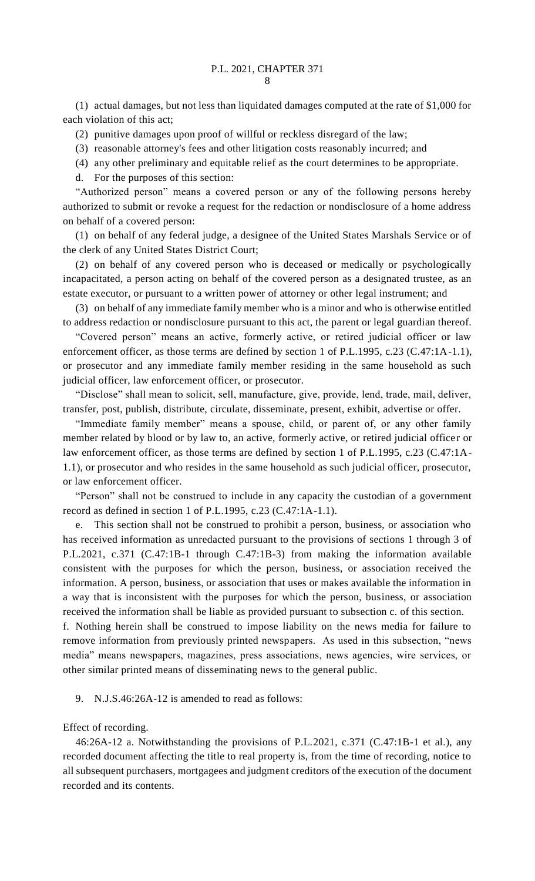(1) actual damages, but not less than liquidated damages computed at the rate of \$1,000 for each violation of this act;

(2) punitive damages upon proof of willful or reckless disregard of the law;

(3) reasonable attorney's fees and other litigation costs reasonably incurred; and

(4) any other preliminary and equitable relief as the court determines to be appropriate.

d. For the purposes of this section:

"Authorized person" means a covered person or any of the following persons hereby authorized to submit or revoke a request for the redaction or nondisclosure of a home address on behalf of a covered person:

(1) on behalf of any federal judge, a designee of the United States Marshals Service or of the clerk of any United States District Court;

(2) on behalf of any covered person who is deceased or medically or psychologically incapacitated, a person acting on behalf of the covered person as a designated trustee, as an estate executor, or pursuant to a written power of attorney or other legal instrument; and

(3) on behalf of any immediate family member who is a minor and who is otherwise entitled to address redaction or nondisclosure pursuant to this act, the parent or legal guardian thereof.

"Covered person" means an active, formerly active, or retired judicial officer or law enforcement officer, as those terms are defined by section 1 of P.L.1995, c.23 (C.47:1A-1.1), or prosecutor and any immediate family member residing in the same household as such judicial officer, law enforcement officer, or prosecutor.

"Disclose" shall mean to solicit, sell, manufacture, give, provide, lend, trade, mail, deliver, transfer, post, publish, distribute, circulate, disseminate, present, exhibit, advertise or offer.

"Immediate family member" means a spouse, child, or parent of, or any other family member related by blood or by law to, an active, formerly active, or retired judicial officer or law enforcement officer, as those terms are defined by section 1 of P.L.1995, c.23 (C.47:1A-1.1), or prosecutor and who resides in the same household as such judicial officer, prosecutor, or law enforcement officer.

"Person" shall not be construed to include in any capacity the custodian of a government record as defined in section 1 of P.L.1995, c.23 (C.47:1A-1.1).

This section shall not be construed to prohibit a person, business, or association who has received information as unredacted pursuant to the provisions of sections 1 through 3 of P.L.2021, c.371 (C.47:1B-1 through C.47:1B-3) from making the information available consistent with the purposes for which the person, business, or association received the information. A person, business, or association that uses or makes available the information in a way that is inconsistent with the purposes for which the person, business, or association received the information shall be liable as provided pursuant to subsection c. of this section.

f. Nothing herein shall be construed to impose liability on the news media for failure to remove information from previously printed newspapers. As used in this subsection, "news media" means newspapers, magazines, press associations, news agencies, wire services, or other similar printed means of disseminating news to the general public.

9. N.J.S.46:26A-12 is amended to read as follows:

Effect of recording.

46:26A-12 a. Notwithstanding the provisions of P.L.2021, c.371 (C.47:1B-1 et al.), any recorded document affecting the title to real property is, from the time of recording, notice to all subsequent purchasers, mortgagees and judgment creditors of the execution of the document recorded and its contents.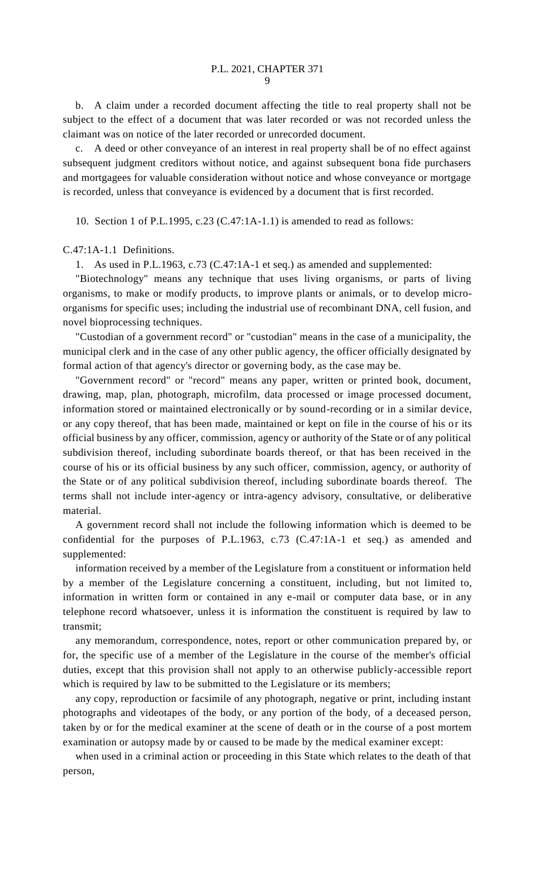b. A claim under a recorded document affecting the title to real property shall not be subject to the effect of a document that was later recorded or was not recorded unless the claimant was on notice of the later recorded or unrecorded document.

c. A deed or other conveyance of an interest in real property shall be of no effect against subsequent judgment creditors without notice, and against subsequent bona fide purchasers and mortgagees for valuable consideration without notice and whose conveyance or mortgage is recorded, unless that conveyance is evidenced by a document that is first recorded.

10. Section 1 of P.L.1995, c.23 (C.47:1A-1.1) is amended to read as follows:

C.47:1A-1.1 Definitions.

1. As used in P.L.1963, c.73 (C.47:1A-1 et seq.) as amended and supplemented:

"Biotechnology" means any technique that uses living organisms, or parts of living organisms, to make or modify products, to improve plants or animals, or to develop microorganisms for specific uses; including the industrial use of recombinant DNA, cell fusion, and novel bioprocessing techniques.

"Custodian of a government record" or "custodian" means in the case of a municipality, the municipal clerk and in the case of any other public agency, the officer officially designated by formal action of that agency's director or governing body, as the case may be.

"Government record" or "record" means any paper, written or printed book, document, drawing, map, plan, photograph, microfilm, data processed or image processed document, information stored or maintained electronically or by sound-recording or in a similar device, or any copy thereof, that has been made, maintained or kept on file in the course of his or its official business by any officer, commission, agency or authority of the State or of any political subdivision thereof, including subordinate boards thereof, or that has been received in the course of his or its official business by any such officer, commission, agency, or authority of the State or of any political subdivision thereof, including subordinate boards thereof. The terms shall not include inter-agency or intra-agency advisory, consultative, or deliberative material.

A government record shall not include the following information which is deemed to be confidential for the purposes of P.L.1963, c.73 (C.47:1A-1 et seq.) as amended and supplemented:

information received by a member of the Legislature from a constituent or information held by a member of the Legislature concerning a constituent, including, but not limited to, information in written form or contained in any e-mail or computer data base, or in any telephone record whatsoever, unless it is information the constituent is required by law to transmit;

any memorandum, correspondence, notes, report or other communication prepared by, or for, the specific use of a member of the Legislature in the course of the member's official duties, except that this provision shall not apply to an otherwise publicly-accessible report which is required by law to be submitted to the Legislature or its members;

any copy, reproduction or facsimile of any photograph, negative or print, including instant photographs and videotapes of the body, or any portion of the body, of a deceased person, taken by or for the medical examiner at the scene of death or in the course of a post mortem examination or autopsy made by or caused to be made by the medical examiner except:

when used in a criminal action or proceeding in this State which relates to the death of that person,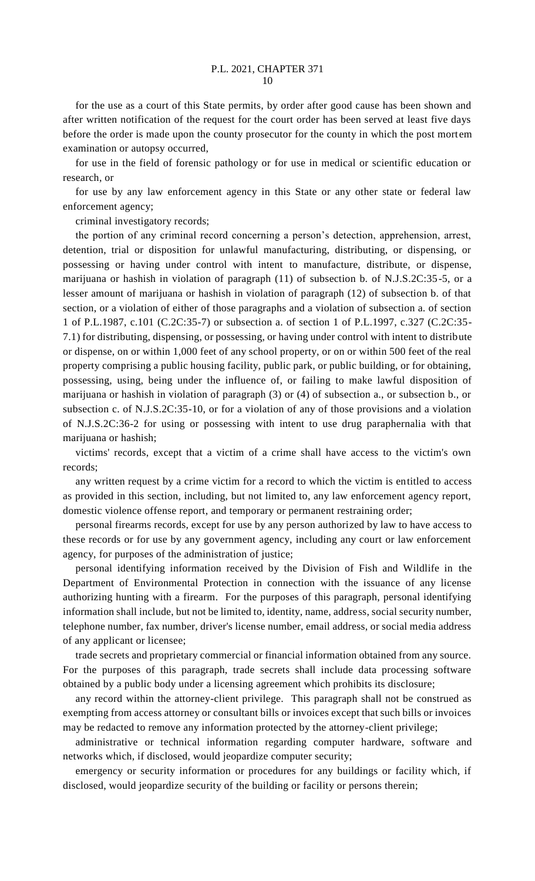for the use as a court of this State permits, by order after good cause has been shown and after written notification of the request for the court order has been served at least five days before the order is made upon the county prosecutor for the county in which the post mortem examination or autopsy occurred,

for use in the field of forensic pathology or for use in medical or scientific education or research, or

for use by any law enforcement agency in this State or any other state or federal law enforcement agency;

criminal investigatory records;

the portion of any criminal record concerning a person's detection, apprehension, arrest, detention, trial or disposition for unlawful manufacturing, distributing, or dispensing, or possessing or having under control with intent to manufacture, distribute, or dispense, marijuana or hashish in violation of paragraph (11) of subsection b. of N.J.S.2C:35-5, or a lesser amount of marijuana or hashish in violation of paragraph (12) of subsection b. of that section, or a violation of either of those paragraphs and a violation of subsection a. of section 1 of P.L.1987, c.101 (C.2C:35-7) or subsection a. of section 1 of P.L.1997, c.327 (C.2C:35- 7.1) for distributing, dispensing, or possessing, or having under control with intent to distribute or dispense, on or within 1,000 feet of any school property, or on or within 500 feet of the real property comprising a public housing facility, public park, or public building, or for obtaining, possessing, using, being under the influence of, or failing to make lawful disposition of marijuana or hashish in violation of paragraph (3) or (4) of subsection a., or subsection b., or subsection c. of N.J.S.2C:35-10, or for a violation of any of those provisions and a violation of N.J.S.2C:36-2 for using or possessing with intent to use drug paraphernalia with that marijuana or hashish;

victims' records, except that a victim of a crime shall have access to the victim's own records;

any written request by a crime victim for a record to which the victim is entitled to access as provided in this section, including, but not limited to, any law enforcement agency report, domestic violence offense report, and temporary or permanent restraining order;

personal firearms records, except for use by any person authorized by law to have access to these records or for use by any government agency, including any court or law enforcement agency, for purposes of the administration of justice;

personal identifying information received by the Division of Fish and Wildlife in the Department of Environmental Protection in connection with the issuance of any license authorizing hunting with a firearm. For the purposes of this paragraph, personal identifying information shall include, but not be limited to, identity, name, address, social security number, telephone number, fax number, driver's license number, email address, or social media address of any applicant or licensee;

trade secrets and proprietary commercial or financial information obtained from any source. For the purposes of this paragraph, trade secrets shall include data processing software obtained by a public body under a licensing agreement which prohibits its disclosure;

any record within the attorney-client privilege. This paragraph shall not be construed as exempting from access attorney or consultant bills or invoices except that such bills or invoices may be redacted to remove any information protected by the attorney-client privilege;

administrative or technical information regarding computer hardware, software and networks which, if disclosed, would jeopardize computer security;

emergency or security information or procedures for any buildings or facility which, if disclosed, would jeopardize security of the building or facility or persons therein;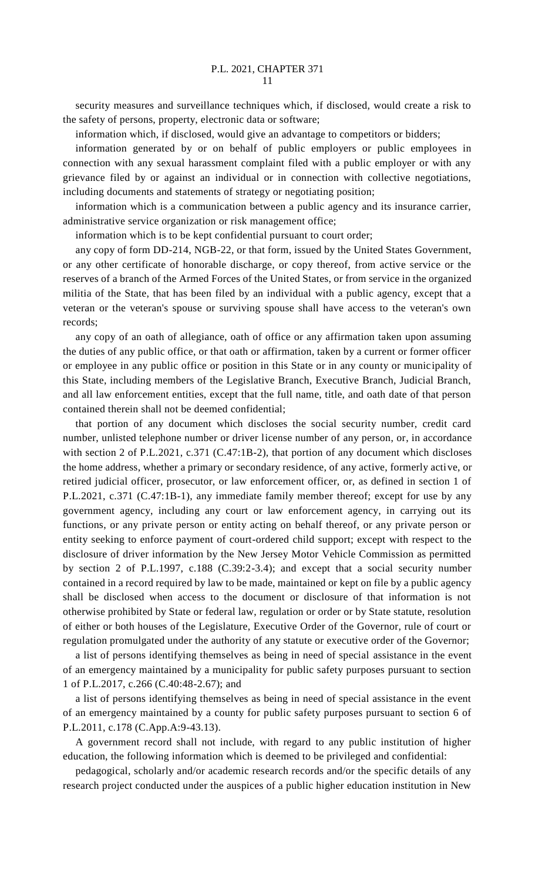security measures and surveillance techniques which, if disclosed, would create a risk to the safety of persons, property, electronic data or software;

information which, if disclosed, would give an advantage to competitors or bidders;

information generated by or on behalf of public employers or public employees in connection with any sexual harassment complaint filed with a public employer or with any grievance filed by or against an individual or in connection with collective negotiations, including documents and statements of strategy or negotiating position;

information which is a communication between a public agency and its insurance carrier, administrative service organization or risk management office;

information which is to be kept confidential pursuant to court order;

any copy of form DD-214, NGB-22, or that form, issued by the United States Government, or any other certificate of honorable discharge, or copy thereof, from active service or the reserves of a branch of the Armed Forces of the United States, or from service in the organized militia of the State, that has been filed by an individual with a public agency, except that a veteran or the veteran's spouse or surviving spouse shall have access to the veteran's own records;

any copy of an oath of allegiance, oath of office or any affirmation taken upon assuming the duties of any public office, or that oath or affirmation, taken by a current or former officer or employee in any public office or position in this State or in any county or municipality of this State, including members of the Legislative Branch, Executive Branch, Judicial Branch, and all law enforcement entities, except that the full name, title, and oath date of that person contained therein shall not be deemed confidential;

that portion of any document which discloses the social security number, credit card number, unlisted telephone number or driver license number of any person, or, in accordance with section 2 of P.L.2021, c.371 (C.47:1B-2), that portion of any document which discloses the home address, whether a primary or secondary residence, of any active, formerly active, or retired judicial officer, prosecutor, or law enforcement officer, or, as defined in section 1 of P.L.2021, c.371 (C.47:1B-1), any immediate family member thereof; except for use by any government agency, including any court or law enforcement agency, in carrying out its functions, or any private person or entity acting on behalf thereof, or any private person or entity seeking to enforce payment of court-ordered child support; except with respect to the disclosure of driver information by the New Jersey Motor Vehicle Commission as permitted by section 2 of P.L.1997, c.188 (C.39:2-3.4); and except that a social security number contained in a record required by law to be made, maintained or kept on file by a public agency shall be disclosed when access to the document or disclosure of that information is not otherwise prohibited by State or federal law, regulation or order or by State statute, resolution of either or both houses of the Legislature, Executive Order of the Governor, rule of court or regulation promulgated under the authority of any statute or executive order of the Governor;

a list of persons identifying themselves as being in need of special assistance in the event of an emergency maintained by a municipality for public safety purposes pursuant to section 1 of P.L.2017, c.266 (C.40:48-2.67); and

a list of persons identifying themselves as being in need of special assistance in the event of an emergency maintained by a county for public safety purposes pursuant to section 6 of P.L.2011, c.178 (C.App.A:9-43.13).

A government record shall not include, with regard to any public institution of higher education, the following information which is deemed to be privileged and confidential:

pedagogical, scholarly and/or academic research records and/or the specific details of any research project conducted under the auspices of a public higher education institution in New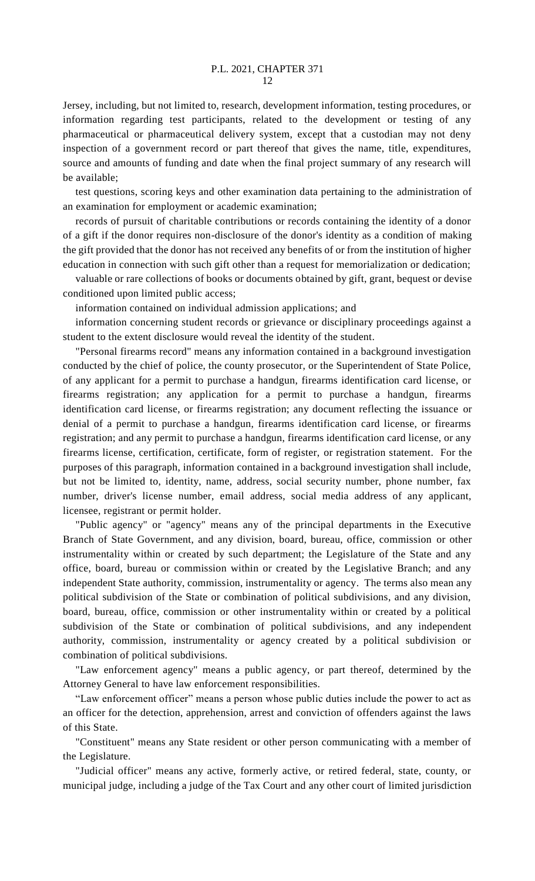Jersey, including, but not limited to, research, development information, testing procedures, or information regarding test participants, related to the development or testing of any pharmaceutical or pharmaceutical delivery system, except that a custodian may not deny inspection of a government record or part thereof that gives the name, title, expenditures, source and amounts of funding and date when the final project summary of any research will be available;

test questions, scoring keys and other examination data pertaining to the administration of an examination for employment or academic examination;

records of pursuit of charitable contributions or records containing the identity of a donor of a gift if the donor requires non-disclosure of the donor's identity as a condition of making the gift provided that the donor has not received any benefits of or from the institution of higher education in connection with such gift other than a request for memorialization or dedication;

valuable or rare collections of books or documents obtained by gift, grant, bequest or devise conditioned upon limited public access;

information contained on individual admission applications; and

information concerning student records or grievance or disciplinary proceedings against a student to the extent disclosure would reveal the identity of the student.

"Personal firearms record" means any information contained in a background investigation conducted by the chief of police, the county prosecutor, or the Superintendent of State Police, of any applicant for a permit to purchase a handgun, firearms identification card license, or firearms registration; any application for a permit to purchase a handgun, firearms identification card license, or firearms registration; any document reflecting the issuance or denial of a permit to purchase a handgun, firearms identification card license, or firearms registration; and any permit to purchase a handgun, firearms identification card license, or any firearms license, certification, certificate, form of register, or registration statement. For the purposes of this paragraph, information contained in a background investigation shall include, but not be limited to, identity, name, address, social security number, phone number, fax number, driver's license number, email address, social media address of any applicant, licensee, registrant or permit holder.

"Public agency" or "agency" means any of the principal departments in the Executive Branch of State Government, and any division, board, bureau, office, commission or other instrumentality within or created by such department; the Legislature of the State and any office, board, bureau or commission within or created by the Legislative Branch; and any independent State authority, commission, instrumentality or agency. The terms also mean any political subdivision of the State or combination of political subdivisions, and any division, board, bureau, office, commission or other instrumentality within or created by a political subdivision of the State or combination of political subdivisions, and any independent authority, commission, instrumentality or agency created by a political subdivision or combination of political subdivisions.

"Law enforcement agency" means a public agency, or part thereof, determined by the Attorney General to have law enforcement responsibilities.

"Law enforcement officer" means a person whose public duties include the power to act as an officer for the detection, apprehension, arrest and conviction of offenders against the laws of this State.

"Constituent" means any State resident or other person communicating with a member of the Legislature.

"Judicial officer" means any active, formerly active, or retired federal, state, county, or municipal judge, including a judge of the Tax Court and any other court of limited jurisdiction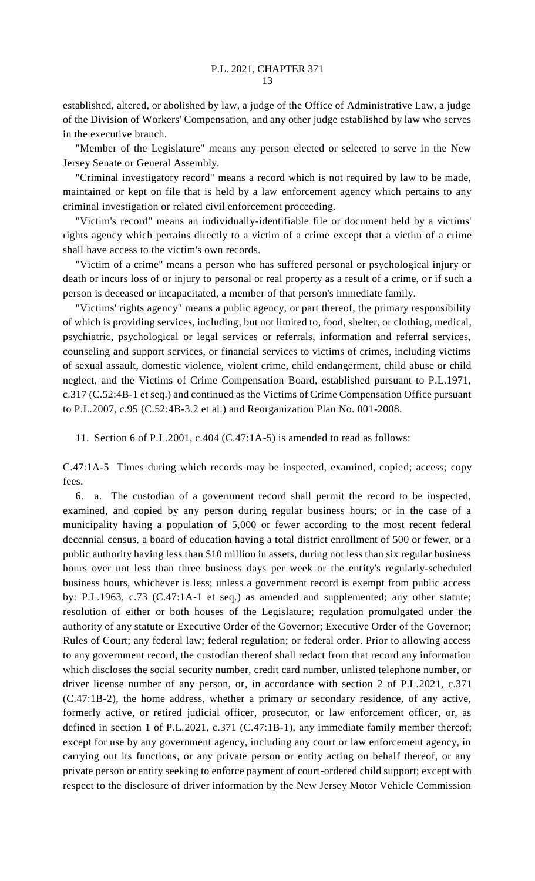established, altered, or abolished by law, a judge of the Office of Administrative Law, a judge of the Division of Workers' Compensation, and any other judge established by law who serves in the executive branch.

"Member of the Legislature" means any person elected or selected to serve in the New Jersey Senate or General Assembly.

"Criminal investigatory record" means a record which is not required by law to be made, maintained or kept on file that is held by a law enforcement agency which pertains to any criminal investigation or related civil enforcement proceeding.

"Victim's record" means an individually-identifiable file or document held by a victims' rights agency which pertains directly to a victim of a crime except that a victim of a crime shall have access to the victim's own records.

"Victim of a crime" means a person who has suffered personal or psychological injury or death or incurs loss of or injury to personal or real property as a result of a crime, or if such a person is deceased or incapacitated, a member of that person's immediate family.

"Victims' rights agency" means a public agency, or part thereof, the primary responsibility of which is providing services, including, but not limited to, food, shelter, or clothing, medical, psychiatric, psychological or legal services or referrals, information and referral services, counseling and support services, or financial services to victims of crimes, including victims of sexual assault, domestic violence, violent crime, child endangerment, child abuse or child neglect, and the Victims of Crime Compensation Board, established pursuant to P.L.1971, c.317 (C.52:4B-1 et seq.) and continued as the Victims of Crime Compensation Office pursuant to P.L.2007, c.95 (C.52:4B-3.2 et al.) and Reorganization Plan No. 001-2008.

11. Section 6 of P.L.2001, c.404 (C.47:1A-5) is amended to read as follows:

C.47:1A-5 Times during which records may be inspected, examined, copied; access; copy fees.

6. a. The custodian of a government record shall permit the record to be inspected, examined, and copied by any person during regular business hours; or in the case of a municipality having a population of 5,000 or fewer according to the most recent federal decennial census, a board of education having a total district enrollment of 500 or fewer, or a public authority having less than \$10 million in assets, during not less than six regular business hours over not less than three business days per week or the entity's regularly-scheduled business hours, whichever is less; unless a government record is exempt from public access by: P.L.1963, c.73 (C.47:1A-1 et seq.) as amended and supplemented; any other statute; resolution of either or both houses of the Legislature; regulation promulgated under the authority of any statute or Executive Order of the Governor; Executive Order of the Governor; Rules of Court; any federal law; federal regulation; or federal order. Prior to allowing access to any government record, the custodian thereof shall redact from that record any information which discloses the social security number, credit card number, unlisted telephone number, or driver license number of any person, or, in accordance with section 2 of P.L.2021, c.371 (C.47:1B-2), the home address, whether a primary or secondary residence, of any active, formerly active, or retired judicial officer, prosecutor, or law enforcement officer, or, as defined in section 1 of P.L.2021, c.371 (C.47:1B-1), any immediate family member thereof; except for use by any government agency, including any court or law enforcement agency, in carrying out its functions, or any private person or entity acting on behalf thereof, or any private person or entity seeking to enforce payment of court-ordered child support; except with respect to the disclosure of driver information by the New Jersey Motor Vehicle Commission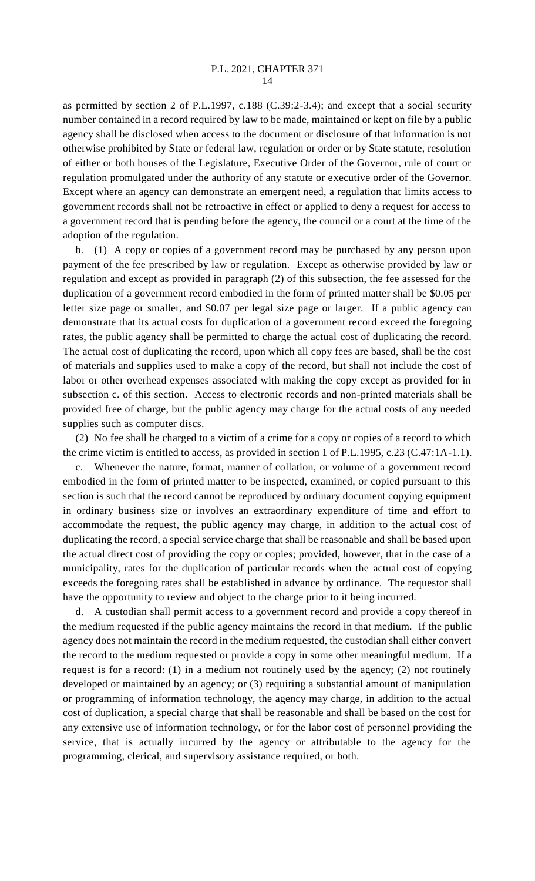as permitted by section 2 of P.L.1997, c.188 (C.39:2-3.4); and except that a social security number contained in a record required by law to be made, maintained or kept on file by a public agency shall be disclosed when access to the document or disclosure of that information is not otherwise prohibited by State or federal law, regulation or order or by State statute, resolution of either or both houses of the Legislature, Executive Order of the Governor, rule of court or regulation promulgated under the authority of any statute or executive order of the Governor. Except where an agency can demonstrate an emergent need, a regulation that limits access to government records shall not be retroactive in effect or applied to deny a request for access to a government record that is pending before the agency, the council or a court at the time of the adoption of the regulation.

b. (1) A copy or copies of a government record may be purchased by any person upon payment of the fee prescribed by law or regulation. Except as otherwise provided by law or regulation and except as provided in paragraph (2) of this subsection, the fee assessed for the duplication of a government record embodied in the form of printed matter shall be \$0.05 per letter size page or smaller, and \$0.07 per legal size page or larger. If a public agency can demonstrate that its actual costs for duplication of a government record exceed the foregoing rates, the public agency shall be permitted to charge the actual cost of duplicating the record. The actual cost of duplicating the record, upon which all copy fees are based, shall be the cost of materials and supplies used to make a copy of the record, but shall not include the cost of labor or other overhead expenses associated with making the copy except as provided for in subsection c. of this section. Access to electronic records and non-printed materials shall be provided free of charge, but the public agency may charge for the actual costs of any needed supplies such as computer discs.

(2) No fee shall be charged to a victim of a crime for a copy or copies of a record to which the crime victim is entitled to access, as provided in section 1 of P.L.1995, c.23 (C.47:1A-1.1). c. Whenever the nature, format, manner of collation, or volume of a government record embodied in the form of printed matter to be inspected, examined, or copied pursuant to this section is such that the record cannot be reproduced by ordinary document copying equipment in ordinary business size or involves an extraordinary expenditure of time and effort to accommodate the request, the public agency may charge, in addition to the actual cost of duplicating the record, a special service charge that shall be reasonable and shall be based upon the actual direct cost of providing the copy or copies; provided, however, that in the case of a municipality, rates for the duplication of particular records when the actual cost of copying exceeds the foregoing rates shall be established in advance by ordinance. The requestor shall have the opportunity to review and object to the charge prior to it being incurred.

d. A custodian shall permit access to a government record and provide a copy thereof in the medium requested if the public agency maintains the record in that medium. If the public agency does not maintain the record in the medium requested, the custodian shall either convert the record to the medium requested or provide a copy in some other meaningful medium. If a request is for a record: (1) in a medium not routinely used by the agency; (2) not routinely developed or maintained by an agency; or (3) requiring a substantial amount of manipulation or programming of information technology, the agency may charge, in addition to the actual cost of duplication, a special charge that shall be reasonable and shall be based on the cost for any extensive use of information technology, or for the labor cost of personnel providing the service, that is actually incurred by the agency or attributable to the agency for the programming, clerical, and supervisory assistance required, or both.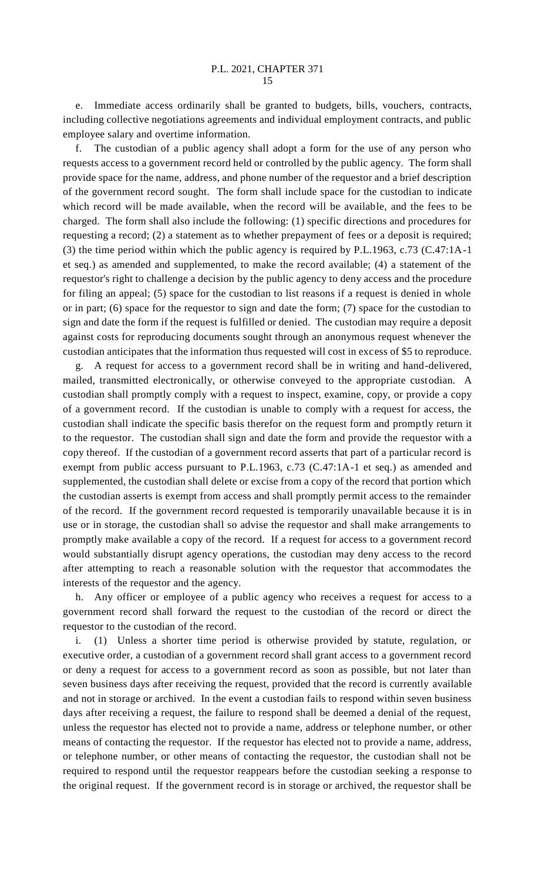e. Immediate access ordinarily shall be granted to budgets, bills, vouchers, contracts, including collective negotiations agreements and individual employment contracts, and public employee salary and overtime information.

f. The custodian of a public agency shall adopt a form for the use of any person who requests access to a government record held or controlled by the public agency. The form shall provide space for the name, address, and phone number of the requestor and a brief description of the government record sought. The form shall include space for the custodian to indicate which record will be made available, when the record will be available, and the fees to be charged. The form shall also include the following: (1) specific directions and procedures for requesting a record; (2) a statement as to whether prepayment of fees or a deposit is required; (3) the time period within which the public agency is required by P.L.1963, c.73 (C.47:1A-1 et seq.) as amended and supplemented, to make the record available; (4) a statement of the requestor's right to challenge a decision by the public agency to deny access and the procedure for filing an appeal; (5) space for the custodian to list reasons if a request is denied in whole or in part; (6) space for the requestor to sign and date the form; (7) space for the custodian to sign and date the form if the request is fulfilled or denied. The custodian may require a deposit against costs for reproducing documents sought through an anonymous request whenever the custodian anticipates that the information thus requested will cost in excess of \$5 to reproduce.

A request for access to a government record shall be in writing and hand-delivered, mailed, transmitted electronically, or otherwise conveyed to the appropriate custodian. A custodian shall promptly comply with a request to inspect, examine, copy, or provide a copy of a government record. If the custodian is unable to comply with a request for access, the custodian shall indicate the specific basis therefor on the request form and promptly return it to the requestor. The custodian shall sign and date the form and provide the requestor with a copy thereof. If the custodian of a government record asserts that part of a particular record is exempt from public access pursuant to P.L.1963, c.73 (C.47:1A-1 et seq.) as amended and supplemented, the custodian shall delete or excise from a copy of the record that portion which the custodian asserts is exempt from access and shall promptly permit access to the remainder of the record. If the government record requested is temporarily unavailable because it is in use or in storage, the custodian shall so advise the requestor and shall make arrangements to promptly make available a copy of the record. If a request for access to a government record would substantially disrupt agency operations, the custodian may deny access to the record after attempting to reach a reasonable solution with the requestor that accommodates the interests of the requestor and the agency.

h. Any officer or employee of a public agency who receives a request for access to a government record shall forward the request to the custodian of the record or direct the requestor to the custodian of the record.

i. (1) Unless a shorter time period is otherwise provided by statute, regulation, or executive order, a custodian of a government record shall grant access to a government record or deny a request for access to a government record as soon as possible, but not later than seven business days after receiving the request, provided that the record is currently available and not in storage or archived. In the event a custodian fails to respond within seven business days after receiving a request, the failure to respond shall be deemed a denial of the request, unless the requestor has elected not to provide a name, address or telephone number, or other means of contacting the requestor. If the requestor has elected not to provide a name, address, or telephone number, or other means of contacting the requestor, the custodian shall not be required to respond until the requestor reappears before the custodian seeking a response to the original request. If the government record is in storage or archived, the requestor shall be